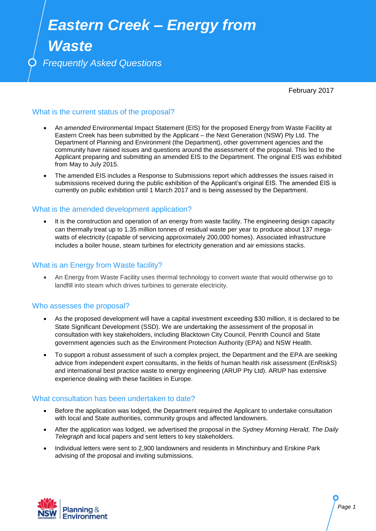# *Eastern Creek – Energy from*

*Waste*

*Frequently Asked Questions*

February 2017

# What is the current status of the proposal?

- An *amended* Environmental Impact Statement (EIS) for the proposed Energy from Waste Facility at Eastern Creek has been submitted by the Applicant – the Next Generation (NSW) Pty Ltd. The Department of Planning and Environment (the Department), other government agencies and the community have raised issues and questions around the assessment of the proposal. This led to the Applicant preparing and submitting an amended EIS to the Department. The original EIS was exhibited from May to July 2015.
- The amended EIS includes a Response to Submissions report which addresses the issues raised in submissions received during the public exhibition of the Applicant's original EIS. The amended EIS is currently on public exhibition until 1 March 2017 and is being assessed by the Department.

### What is the amended development application?

 It is the construction and operation of an energy from waste facility. The engineering design capacity can thermally treat up to 1.35 million tonnes of residual waste per year to produce about 137 megawatts of electricity (capable of servicing approximately 200,000 homes). Associated infrastructure includes a boiler house, steam turbines for electricity generation and air emissions stacks.

## What is an Energy from Waste facility?

 An Energy from Waste Facility uses thermal technology to convert waste that would otherwise go to landfill into steam which drives turbines to generate electricity.

# Who assesses the proposal?

- As the proposed development will have a capital investment exceeding \$30 million, it is declared to be State Significant Development (SSD). We are undertaking the assessment of the proposal in consultation with key stakeholders, including Blacktown City Council, Penrith Council and State government agencies such as the Environment Protection Authority (EPA) and NSW Health.
- To support a robust assessment of such a complex project, the Department and the EPA are seeking advice from independent expert consultants, in the fields of human health risk assessment (EnRiskS) and international best practice waste to energy engineering (ARUP Pty Ltd). ARUP has extensive experience dealing with these facilities in Europe.

#### What consultation has been undertaken to date?

- Before the application was lodged, the Department required the Applicant to undertake consultation with local and State authorities, community groups and affected landowners.
- After the application was lodged, we advertised the proposal in the *Sydney Morning Herald, The Daily Telegraph* and local papers and sent letters to key stakeholders.
- Individual letters were sent to 2,900 landowners and residents in Minchinbury and Erskine Park advising of the proposal and inviting submissions.